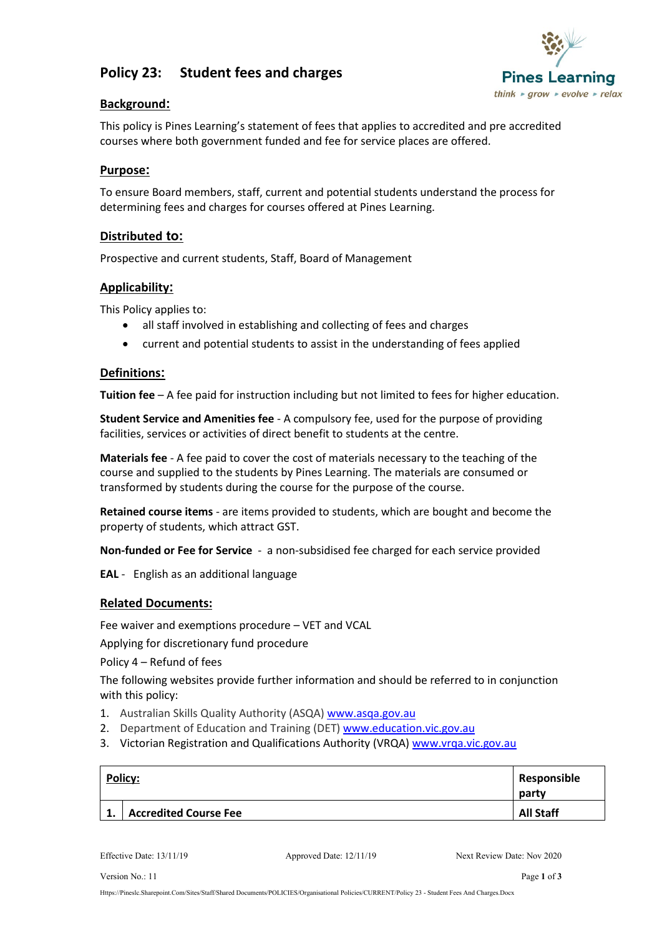# **Policy 23: Student fees and charges**



## **Background:**

This policy is Pines Learning's statement of fees that applies to accredited and pre accredited courses where both government funded and fee for service places are offered.

## **Purpose:**

To ensure Board members, staff, current and potential students understand the process for determining fees and charges for courses offered at Pines Learning.

## **Distributed to:**

Prospective and current students, Staff, Board of Management

#### **Applicability:**

This Policy applies to:

- all staff involved in establishing and collecting of fees and charges
- current and potential students to assist in the understanding of fees applied

#### **Definitions:**

**Tuition fee** – A fee paid for instruction including but not limited to fees for higher education.

**Student Service and Amenities fee** - A compulsory fee, used for the purpose of providing facilities, services or activities of direct benefit to students at the centre.

**Materials fee** - A fee paid to cover the cost of materials necessary to the teaching of the course and supplied to the students by Pines Learning. The materials are consumed or transformed by students during the course for the purpose of the course.

**Retained course items** - are items provided to students, which are bought and become the property of students, which attract GST.

**Non-funded or Fee for Service** -a non-subsidised fee charged for each service provided

**EAL** -English as an additional language

#### **Related Documents:**

Fee waiver and exemptions procedure – VET and VCAL

Applying for discretionary fund procedure

Policy 4 – Refund of fees

The following websites provide further information and should be referred to in conjunction with this policy:

- 1. Australian Skills Quality Authority (ASQA) [www.asqa.gov.au](http://www.asqa.gov.au/)
- 2. Department of Education and Training (DET[\) www.education.vic.gov.au](http://www.education.vic.gov.au/)
- 3. Victorian Registration and Qualifications Authority (VRQA[\) www.vrqa.vic.gov.au](http://www.vrqa.vic.gov.au/)

| Policy:<br>Responsible       |                  |
|------------------------------|------------------|
| <b>Accredited Course Fee</b> | <b>All Staff</b> |

Effective Date: 13/11/19 Approved Date: 12/11/19 Next Review Date: Nov 2020

Version No.: 11 Page 1 of 3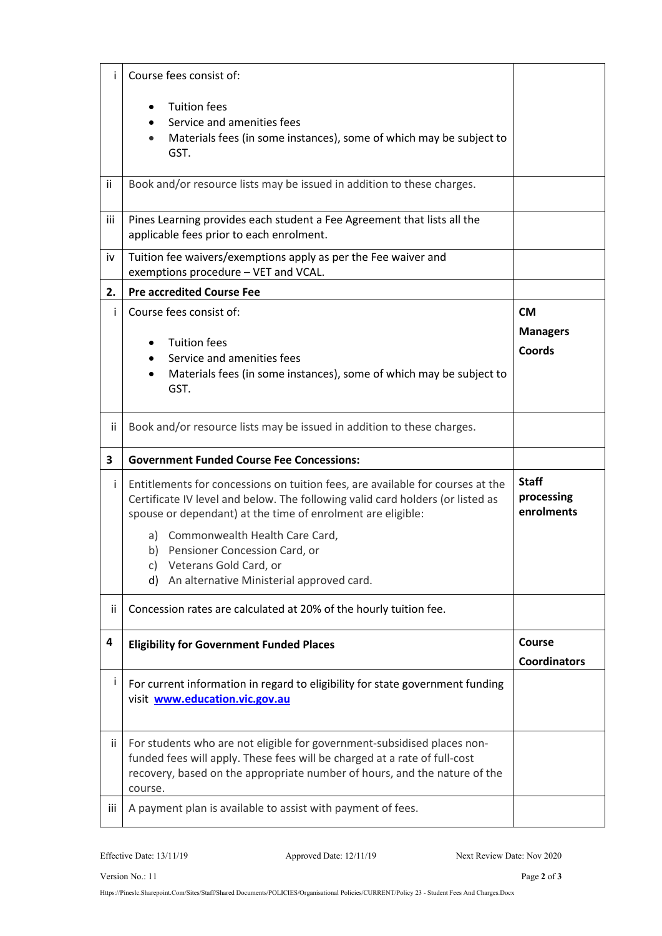| i   | Course fees consist of:                                                                                                                                                                                                                                                                                                                                                                  |                                               |
|-----|------------------------------------------------------------------------------------------------------------------------------------------------------------------------------------------------------------------------------------------------------------------------------------------------------------------------------------------------------------------------------------------|-----------------------------------------------|
|     | <b>Tuition fees</b><br>Service and amenities fees<br>Materials fees (in some instances), some of which may be subject to<br>GST.                                                                                                                                                                                                                                                         |                                               |
| ij. | Book and/or resource lists may be issued in addition to these charges.                                                                                                                                                                                                                                                                                                                   |                                               |
| iii | Pines Learning provides each student a Fee Agreement that lists all the<br>applicable fees prior to each enrolment.                                                                                                                                                                                                                                                                      |                                               |
| iv  | Tuition fee waivers/exemptions apply as per the Fee waiver and<br>exemptions procedure - VET and VCAL.                                                                                                                                                                                                                                                                                   |                                               |
| 2.  | <b>Pre accredited Course Fee</b>                                                                                                                                                                                                                                                                                                                                                         |                                               |
| Ť   | Course fees consist of:<br><b>Tuition fees</b><br>Service and amenities fees<br>Materials fees (in some instances), some of which may be subject to<br>GST.                                                                                                                                                                                                                              | <b>CM</b><br><b>Managers</b><br><b>Coords</b> |
| ij  | Book and/or resource lists may be issued in addition to these charges.                                                                                                                                                                                                                                                                                                                   |                                               |
|     |                                                                                                                                                                                                                                                                                                                                                                                          |                                               |
| 3   | <b>Government Funded Course Fee Concessions:</b>                                                                                                                                                                                                                                                                                                                                         |                                               |
| Ť   | Entitlements for concessions on tuition fees, are available for courses at the<br>Certificate IV level and below. The following valid card holders (or listed as<br>spouse or dependant) at the time of enrolment are eligible:<br>a) Commonwealth Health Care Card,<br>b) Pensioner Concession Card, or<br>c) Veterans Gold Card, or<br>An alternative Ministerial approved card.<br>d) | <b>Staff</b><br>processing<br>enrolments      |
| ij  | Concession rates are calculated at 20% of the hourly tuition fee.                                                                                                                                                                                                                                                                                                                        |                                               |
| 4   | <b>Eligibility for Government Funded Places</b>                                                                                                                                                                                                                                                                                                                                          | Course<br><b>Coordinators</b>                 |
| j   | For current information in regard to eligibility for state government funding<br>visit www.education.vic.gov.au                                                                                                                                                                                                                                                                          |                                               |
| ii. | For students who are not eligible for government-subsidised places non-<br>funded fees will apply. These fees will be charged at a rate of full-cost<br>recovery, based on the appropriate number of hours, and the nature of the<br>course.                                                                                                                                             |                                               |

Effective Date: 13/11/19 Approved Date: 12/11/19 Next Review Date: Nov 2020